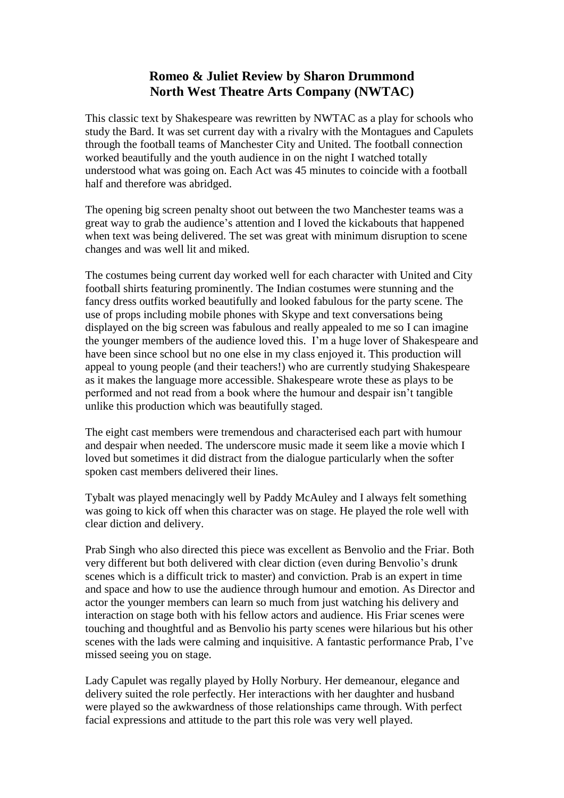## **Romeo & Juliet Review by Sharon Drummond North West Theatre Arts Company (NWTAC)**

This classic text by Shakespeare was rewritten by NWTAC as a play for schools who study the Bard. It was set current day with a rivalry with the Montagues and Capulets through the football teams of Manchester City and United. The football connection worked beautifully and the youth audience in on the night I watched totally understood what was going on. Each Act was 45 minutes to coincide with a football half and therefore was abridged.

The opening big screen penalty shoot out between the two Manchester teams was a great way to grab the audience's attention and I loved the kickabouts that happened when text was being delivered. The set was great with minimum disruption to scene changes and was well lit and miked.

The costumes being current day worked well for each character with United and City football shirts featuring prominently. The Indian costumes were stunning and the fancy dress outfits worked beautifully and looked fabulous for the party scene. The use of props including mobile phones with Skype and text conversations being displayed on the big screen was fabulous and really appealed to me so I can imagine the younger members of the audience loved this. I'm a huge lover of Shakespeare and have been since school but no one else in my class enjoyed it. This production will appeal to young people (and their teachers!) who are currently studying Shakespeare as it makes the language more accessible. Shakespeare wrote these as plays to be performed and not read from a book where the humour and despair isn't tangible unlike this production which was beautifully staged.

The eight cast members were tremendous and characterised each part with humour and despair when needed. The underscore music made it seem like a movie which I loved but sometimes it did distract from the dialogue particularly when the softer spoken cast members delivered their lines.

Tybalt was played menacingly well by Paddy McAuley and I always felt something was going to kick off when this character was on stage. He played the role well with clear diction and delivery.

Prab Singh who also directed this piece was excellent as Benvolio and the Friar. Both very different but both delivered with clear diction (even during Benvolio's drunk scenes which is a difficult trick to master) and conviction. Prab is an expert in time and space and how to use the audience through humour and emotion. As Director and actor the younger members can learn so much from just watching his delivery and interaction on stage both with his fellow actors and audience. His Friar scenes were touching and thoughtful and as Benvolio his party scenes were hilarious but his other scenes with the lads were calming and inquisitive. A fantastic performance Prab, I've missed seeing you on stage.

Lady Capulet was regally played by Holly Norbury. Her demeanour, elegance and delivery suited the role perfectly. Her interactions with her daughter and husband were played so the awkwardness of those relationships came through. With perfect facial expressions and attitude to the part this role was very well played.